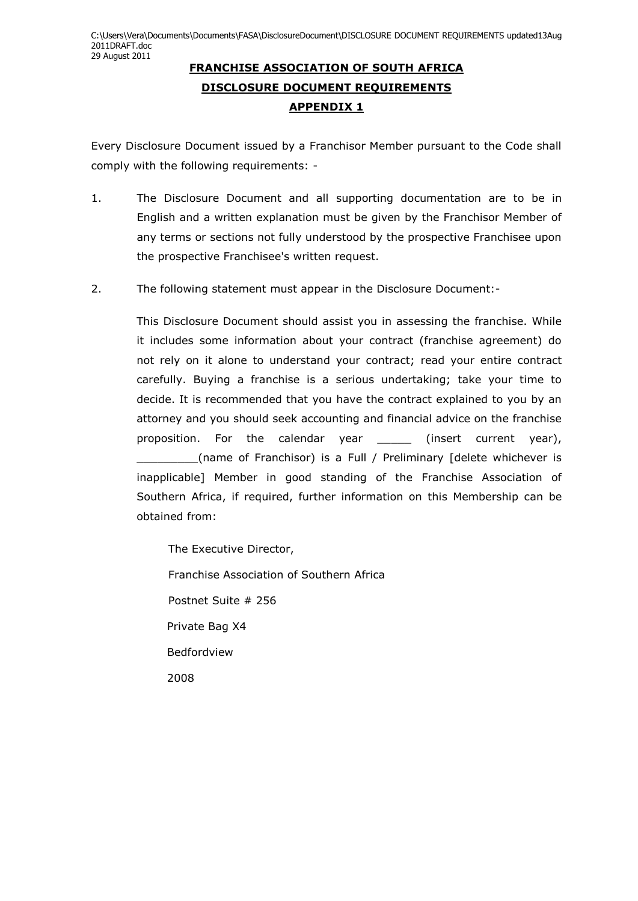## **FRANCHISE ASSOCIATION OF SOUTH AFRICA DISCLOSURE DOCUMENT REQUIREMENTS APPENDIX 1**

Every Disclosure Document issued by a Franchisor Member pursuant to the Code shall comply with the following requirements: -

- 1. The Disclosure Document and all supporting documentation are to be in English and a written explanation must be given by the Franchisor Member of any terms or sections not fully understood by the prospective Franchisee upon the prospective Franchisee's written request.
- 2. The following statement must appear in the Disclosure Document:-

This Disclosure Document should assist you in assessing the franchise. While it includes some information about your contract (franchise agreement) do not rely on it alone to understand your contract; read your entire contract carefully. Buying a franchise is a serious undertaking; take your time to decide. It is recommended that you have the contract explained to you by an attorney and you should seek accounting and financial advice on the franchise proposition. For the calendar year \_\_\_\_\_ (insert current year), \_\_\_\_\_\_\_\_\_(name of Franchisor) is a Full / Preliminary [delete whichever is inapplicable] Member in good standing of the Franchise Association of Southern Africa, if required, further information on this Membership can be obtained from:

The Executive Director,

Franchise Association of Southern Africa

Postnet Suite # 256

Private Bag X4

Bedfordview

2008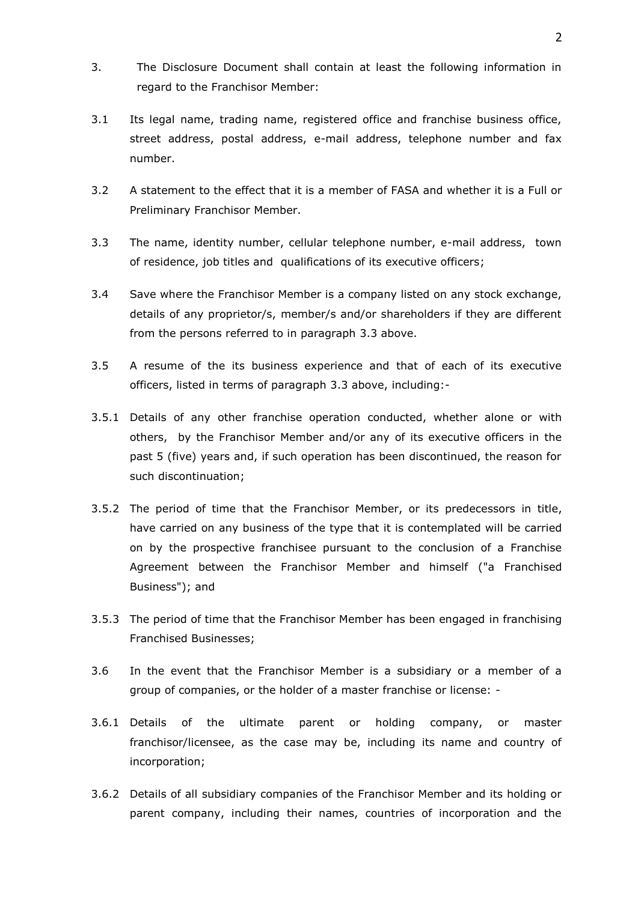- 3. The Disclosure Document shall contain at least the following information in regard to the Franchisor Member:
- 3.1 Its legal name, trading name, registered office and franchise business office, street address, postal address, e-mail address, telephone number and fax number.
- 3.2 A statement to the effect that it is a member of FASA and whether it is a Full or Preliminary Franchisor Member.
- <span id="page-1-0"></span>3.3 The name, identity number, cellular telephone number, e-mail address, town of residence, job titles and qualifications of its executive officers;
- 3.4 Save where the Franchisor Member is a company listed on any stock exchange, details of any proprietor/s, member/s and/or shareholders if they are different from the persons referred to in paragraph [3.3 above.](#page-1-0)
- 3.5 A resume of the its business experience and that of each of its executive officers, listed in terms of paragraph [3.3 above,](#page-1-0) including:-
- 3.5.1 Details of any other franchise operation conducted, whether alone or with others, by the Franchisor Member and/or any of its executive officers in the past 5 (five) years and, if such operation has been discontinued, the reason for such discontinuation;
- 3.5.2 The period of time that the Franchisor Member, or its predecessors in title, have carried on any business of the type that it is contemplated will be carried on by the prospective franchisee pursuant to the conclusion of a Franchise Agreement between the Franchisor Member and himself ("a Franchised Business"); and
- 3.5.3 The period of time that the Franchisor Member has been engaged in franchising Franchised Businesses;
- 3.6 In the event that the Franchisor Member is a subsidiary or a member of a group of companies, or the holder of a master franchise or license: -
- 3.6.1 Details of the ultimate parent or holding company, or master franchisor/licensee, as the case may be, including its name and country of incorporation;
- 3.6.2 Details of all subsidiary companies of the Franchisor Member and its holding or parent company, including their names, countries of incorporation and the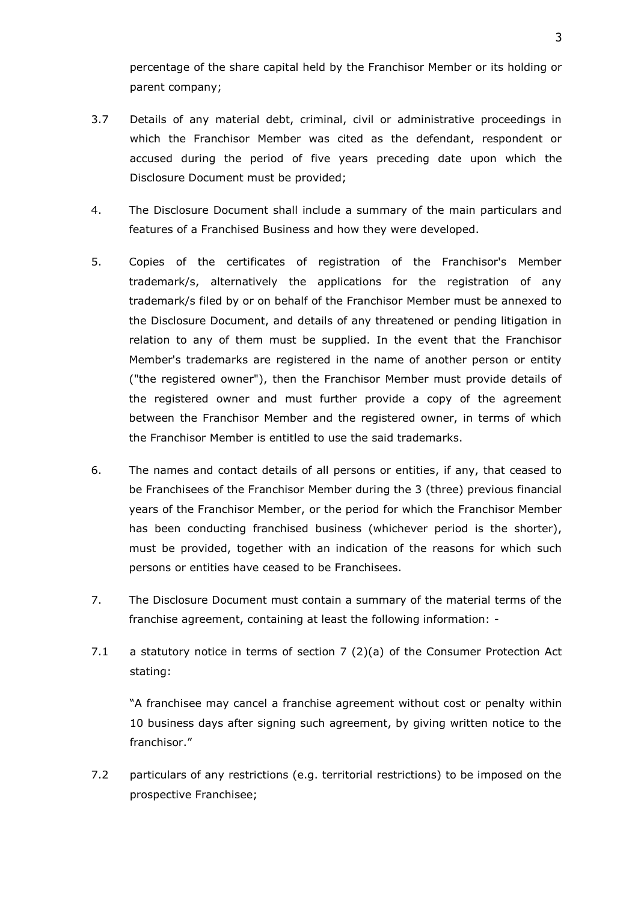percentage of the share capital held by the Franchisor Member or its holding or parent company;

- 3.7 Details of any material debt, criminal, civil or administrative proceedings in which the Franchisor Member was cited as the defendant, respondent or accused during the period of five years preceding date upon which the Disclosure Document must be provided;
- 4. The Disclosure Document shall include a summary of the main particulars and features of a Franchised Business and how they were developed.
- 5. Copies of the certificates of registration of the Franchisor's Member trademark/s, alternatively the applications for the registration of any trademark/s filed by or on behalf of the Franchisor Member must be annexed to the Disclosure Document, and details of any threatened or pending litigation in relation to any of them must be supplied. In the event that the Franchisor Member's trademarks are registered in the name of another person or entity ("the registered owner"), then the Franchisor Member must provide details of the registered owner and must further provide a copy of the agreement between the Franchisor Member and the registered owner, in terms of which the Franchisor Member is entitled to use the said trademarks.
- 6. The names and contact details of all persons or entities, if any, that ceased to be Franchisees of the Franchisor Member during the 3 (three) previous financial years of the Franchisor Member, or the period for which the Franchisor Member has been conducting franchised business (whichever period is the shorter), must be provided, together with an indication of the reasons for which such persons or entities have ceased to be Franchisees.
- 7. The Disclosure Document must contain a summary of the material terms of the franchise agreement, containing at least the following information: -
- 7.1 a statutory notice in terms of section  $7(2)(a)$  of the Consumer Protection Act stating:

"A franchisee may cancel a franchise agreement without cost or penalty within 10 business days after signing such agreement, by giving written notice to the franchisor."

7.2 particulars of any restrictions (e.g. territorial restrictions) to be imposed on the prospective Franchisee;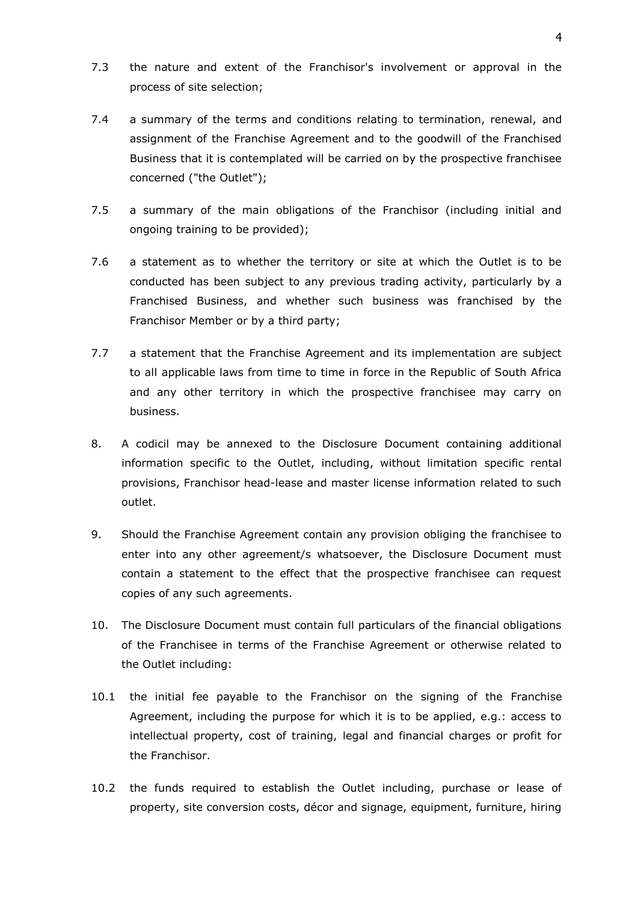- 7.3 the nature and extent of the Franchisor's involvement or approval in the process of site selection;
- 7.4 a summary of the terms and conditions relating to termination, renewal, and assignment of the Franchise Agreement and to the goodwill of the Franchised Business that it is contemplated will be carried on by the prospective franchisee concerned ("the Outlet");
- 7.5 a summary of the main obligations of the Franchisor (including initial and ongoing training to be provided);
- 7.6 a statement as to whether the territory or site at which the Outlet is to be conducted has been subject to any previous trading activity, particularly by a Franchised Business, and whether such business was franchised by the Franchisor Member or by a third party;
- 7.7 a statement that the Franchise Agreement and its implementation are subject to all applicable laws from time to time in force in the Republic of South Africa and any other territory in which the prospective franchisee may carry on business.
- 8. A codicil may be annexed to the Disclosure Document containing additional information specific to the Outlet, including, without limitation specific rental provisions, Franchisor head-lease and master license information related to such outlet.
- 9. Should the Franchise Agreement contain any provision obliging the franchisee to enter into any other agreement/s whatsoever, the Disclosure Document must contain a statement to the effect that the prospective franchisee can request copies of any such agreements.
- 10. The Disclosure Document must contain full particulars of the financial obligations of the Franchisee in terms of the Franchise Agreement or otherwise related to the Outlet including:
- 10.1 the initial fee payable to the Franchisor on the signing of the Franchise Agreement, including the purpose for which it is to be applied, e.g.: access to intellectual property, cost of training, legal and financial charges or profit for the Franchisor.
- 10.2 the funds required to establish the Outlet including, purchase or lease of property, site conversion costs, décor and signage, equipment, furniture, hiring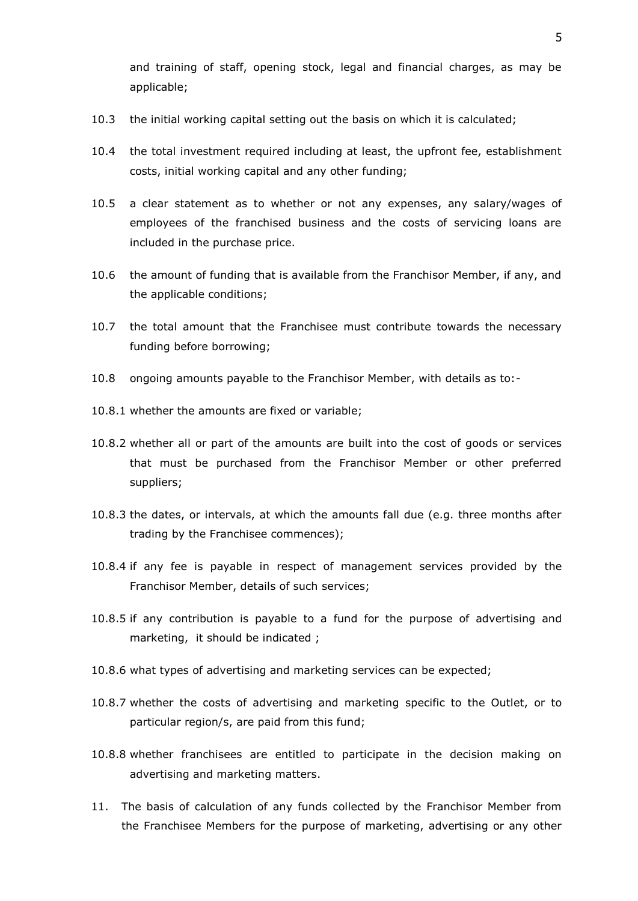and training of staff, opening stock, legal and financial charges, as may be applicable;

- 10.3 the initial working capital setting out the basis on which it is calculated;
- 10.4 the total investment required including at least, the upfront fee, establishment costs, initial working capital and any other funding;
- 10.5 a clear statement as to whether or not any expenses, any salary/wages of employees of the franchised business and the costs of servicing loans are included in the purchase price.
- 10.6 the amount of funding that is available from the Franchisor Member, if any, and the applicable conditions;
- 10.7 the total amount that the Franchisee must contribute towards the necessary funding before borrowing;
- 10.8 ongoing amounts payable to the Franchisor Member, with details as to:-
- 10.8.1 whether the amounts are fixed or variable;
- 10.8.2 whether all or part of the amounts are built into the cost of goods or services that must be purchased from the Franchisor Member or other preferred suppliers;
- 10.8.3 the dates, or intervals, at which the amounts fall due (e.g. three months after trading by the Franchisee commences);
- 10.8.4 if any fee is payable in respect of management services provided by the Franchisor Member, details of such services;
- 10.8.5 if any contribution is payable to a fund for the purpose of advertising and marketing, it should be indicated ;
- 10.8.6 what types of advertising and marketing services can be expected;
- 10.8.7 whether the costs of advertising and marketing specific to the Outlet, or to particular region/s, are paid from this fund;
- 10.8.8 whether franchisees are entitled to participate in the decision making on advertising and marketing matters.
- 11. The basis of calculation of any funds collected by the Franchisor Member from the Franchisee Members for the purpose of marketing, advertising or any other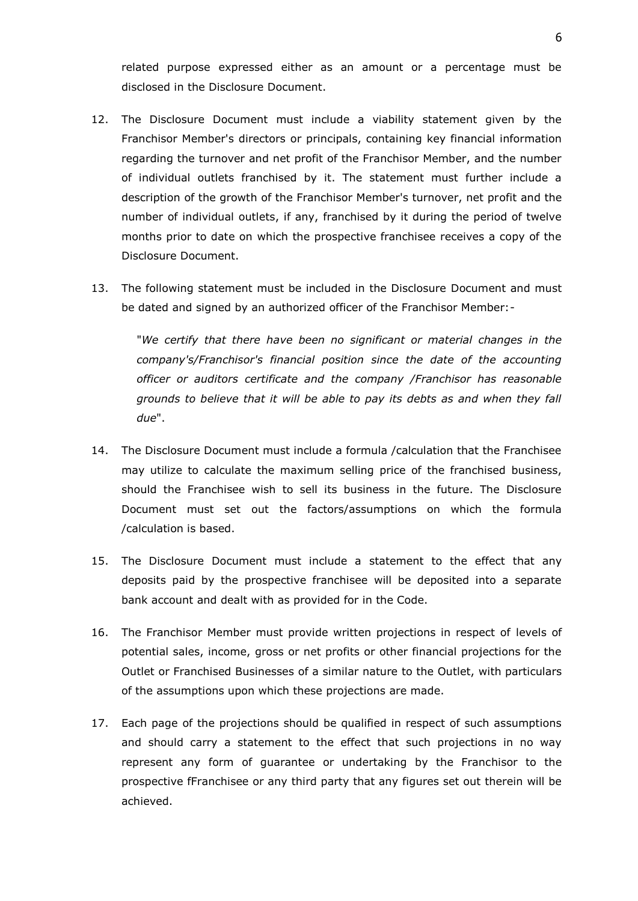related purpose expressed either as an amount or a percentage must be disclosed in the Disclosure Document.

- 12. The Disclosure Document must include a viability statement given by the Franchisor Member's directors or principals, containing key financial information regarding the turnover and net profit of the Franchisor Member, and the number of individual outlets franchised by it. The statement must further include a description of the growth of the Franchisor Member's turnover, net profit and the number of individual outlets, if any, franchised by it during the period of twelve months prior to date on which the prospective franchisee receives a copy of the Disclosure Document.
- 13. The following statement must be included in the Disclosure Document and must be dated and signed by an authorized officer of the Franchisor Member:-

"*We certify that there have been no significant or material changes in the company's/Franchisor's financial position since the date of the accounting officer or auditors certificate and the company /Franchisor has reasonable grounds to believe that it will be able to pay its debts as and when they fall due*".

- 14. The Disclosure Document must include a formula /calculation that the Franchisee may utilize to calculate the maximum selling price of the franchised business, should the Franchisee wish to sell its business in the future. The Disclosure Document must set out the factors/assumptions on which the formula /calculation is based.
- 15. The Disclosure Document must include a statement to the effect that any deposits paid by the prospective franchisee will be deposited into a separate bank account and dealt with as provided for in the Code.
- 16. The Franchisor Member must provide written projections in respect of levels of potential sales, income, gross or net profits or other financial projections for the Outlet or Franchised Businesses of a similar nature to the Outlet, with particulars of the assumptions upon which these projections are made.
- 17. Each page of the projections should be qualified in respect of such assumptions and should carry a statement to the effect that such projections in no way represent any form of guarantee or undertaking by the Franchisor to the prospective fFranchisee or any third party that any figures set out therein will be achieved.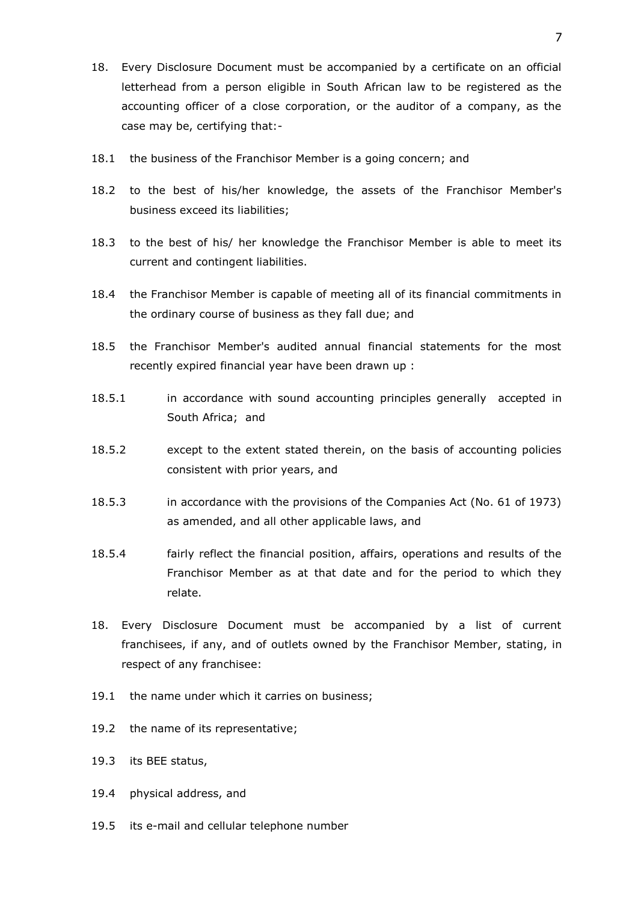- 18. Every Disclosure Document must be accompanied by a certificate on an official letterhead from a person eligible in South African law to be registered as the accounting officer of a close corporation, or the auditor of a company, as the case may be, certifying that:-
- 18.1 the business of the Franchisor Member is a going concern; and
- 18.2 to the best of his/her knowledge, the assets of the Franchisor Member's business exceed its liabilities;
- 18.3 to the best of his/ her knowledge the Franchisor Member is able to meet its current and contingent liabilities.
- 18.4 the Franchisor Member is capable of meeting all of its financial commitments in the ordinary course of business as they fall due; and
- 18.5 the Franchisor Member's audited annual financial statements for the most recently expired financial year have been drawn up :
- 18.5.1 in accordance with sound accounting principles generally accepted in South Africa; and
- 18.5.2 except to the extent stated therein, on the basis of accounting policies consistent with prior years, and
- 18.5.3 in accordance with the provisions of the Companies Act (No. 61 of 1973) as amended, and all other applicable laws, and
- 18.5.4 fairly reflect the financial position, affairs, operations and results of the Franchisor Member as at that date and for the period to which they relate.
- 18. Every Disclosure Document must be accompanied by a list of current franchisees, if any, and of outlets owned by the Franchisor Member, stating, in respect of any franchisee:
- 19.1 the name under which it carries on business;
- 19.2 the name of its representative;
- 19.3 its BEE status,
- 19.4 physical address, and
- 19.5 its e-mail and cellular telephone number